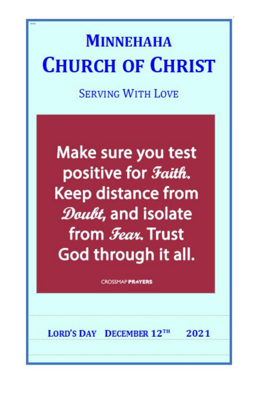# **MINNEHAHA CHURCH OF CHRIST**

**SERVING WITH LOVE** 

Make sure you test positive for *Faith*. **Keep distance from** Doubt, and isolate from **Fear**. Trust God through it all.

**CROSSMAP PRAYERS** 

LORD'S DAY DECEMBER 12TH 2021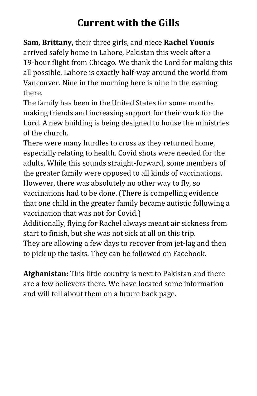# **Current with the Gills**

**Sam, Brittany,** their three girls, and niece **Rachel Younis** arrived safely home in Lahore, Pakistan this week after a 19-hour flight from Chicago. We thank the Lord for making this all possible. Lahore is exactly half-way around the world from Vancouver. Nine in the morning here is nine in the evening there.

The family has been in the United States for some months making friends and increasing support for their work for the Lord. A new building is being designed to house the ministries of the church.

There were many hurdles to cross as they returned home, especially relating to health. Covid shots were needed for the adults. While this sounds straight-forward, some members of the greater family were opposed to all kinds of vaccinations. However, there was absolutely no other way to fly, so vaccinations had to be done. (There is compelling evidence that one child in the greater family became autistic following a vaccination that was not for Covid.)

Additionally, flying for Rachel always meant air sickness from start to finish, but she was not sick at all on this trip.

They are allowing a few days to recover from jet-lag and then to pick up the tasks. They can be followed on Facebook.

**Afghanistan:** This little country is next to Pakistan and there are a few believers there. We have located some information and will tell about them on a future back page.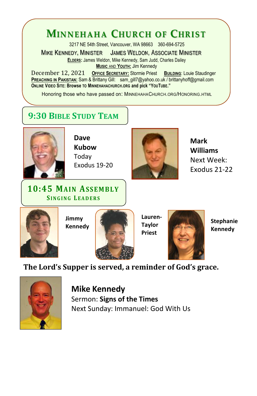## **MINNEHAHA CHURCH OF CHRIST**

3217 NE 54th Street, Vancouver, WA 98663 360-694-5725

**MIKE KENNEDY, MINISTER JAMES WELDON, ASSOCIATE MINISTER ELDERS:** James Weldon, Mike Kennedy, Sam Judd, Charles Dailey **MUSIC** AND **YOUTH:** Jim Kennedy

December 12, 2021 OFFICE SECRETARY: Stormie Priest BUILDING: Louie Staudinger<br>
PREACHING IN PAKISTAN: Sam & Brittany Gill: sam\_gill7@yahoo.co.uk / brittanyhoff@amail.com **ONLINE VIDEO SITE: Browse TO MINNEHAHACHURCH.ORG and pick "YOUTUBE."**

Honoring those who have passed on: MINNEHAHACHURCH.ORG/HONORING.HTML

### **9:30 BIBLESTUDY TEAM**



**Dave Kubow** Today Exodus 19-20



**Mark Williams** Next Week: Exodus 21-22

#### **10:45 MAIN ASSEMBLY SINGING L EAD ERS**



**Jimmy Kennedy**



**Lauren- Taylor Priest**



**Stephanie Kennedy**

**The Lord's Supper is served, a reminder of God's grace.**



**Mike Kennedy** Sermon: **Signs of the Times** Next Sunday: Immanuel: God With Us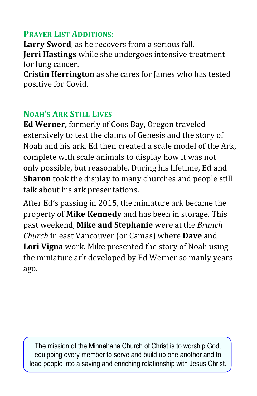#### **PRAYER LIST ADDITIONS:**

**Larry Sword**, as he recovers from <sup>a</sup> serious fall. **Jerri Hastings** while she undergoes intensive treatment

**Cristin Herrington** as she cares for James who has tested positive for Covid.

#### **NOAH'S ARK STILL LIVES**

**Ed Werner,** formerly of Coos Bay, Oregon traveled extensively to test the claims of Genesis and the story of Noah and his ark. Ed then created a scale model of the Ark, complete with scale animals to display how it was not only possible, but reasonable. During his lifetime, **Ed** and **Sharon** took the display to many churches and people still talk about his ark presentations.

After Ed's passing in 2015, the miniature ark became the property of **Mike Kennedy** and has been in storage. This past weekend, **Mike and Stephanie** were at the *Branch Church* in east Vancouver (or Camas) where **Dave** and **Lori Vigna** work. Mike presented the story of Noah using the miniature ark developed by Ed Werner so manly years ago.

The mission of the Minnehaha Church of Christ is to worship God, equipping every member to serve and build up one another and to lead people into a saving and enriching relationship with Jesus Christ.